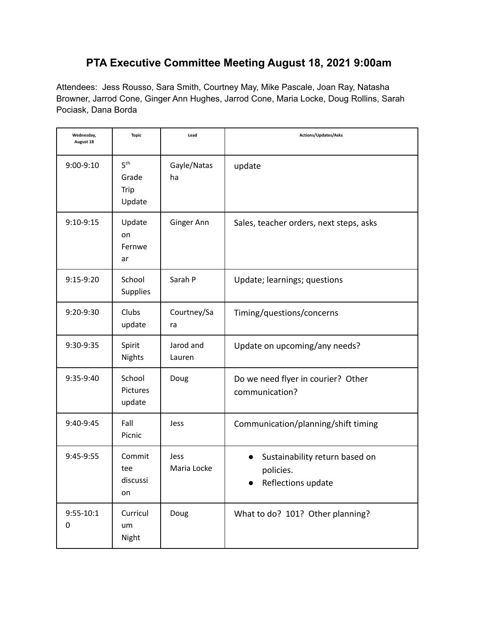# **PTA Executive Committee Meeting August 18, 2021 9:00am**

Attendees: Jess Rousso, Sara Smith, Courtney May, Mike Pascale, Joan Ray, Natasha Browner, Jarrod Cone, Ginger Ann Hughes, Jarrod Cone, Maria Locke, Doug Rollins, Sarah Pociask, Dana Borda

| Wednesday,<br>August 18 | <b>Topic</b>                               | Lead                | Actions/Updates/Asks                                              |
|-------------------------|--------------------------------------------|---------------------|-------------------------------------------------------------------|
| $9:00-9:10$             | 5 <sup>th</sup><br>Grade<br>Trip<br>Update | Gayle/Natas<br>ha   | update                                                            |
| 9:10-9:15               | Update<br>on<br>Fernwe<br>ar               | Ginger Ann          | Sales, teacher orders, next steps, asks                           |
| $9:15-9:20$             | School<br><b>Supplies</b>                  | Sarah P             | Update; learnings; questions                                      |
| 9:20-9:30               | Clubs<br>update                            | Courtney/Sa<br>ra   | Timing/questions/concerns                                         |
| 9:30-9:35               | Spirit<br><b>Nights</b>                    | Jarod and<br>Lauren | Update on upcoming/any needs?                                     |
| 9:35-9:40               | School<br>Pictures<br>update               | Doug                | Do we need flyer in courier? Other<br>communication?              |
| 9:40-9:45               | Fall<br>Picnic                             | Jess                | Communication/planning/shift timing                               |
| 9:45-9:55               | Commit<br>tee<br>discussi<br>on            | Jess<br>Maria Locke | Sustainability return based on<br>policies.<br>Reflections update |
| $9:55 - 10:1$<br>0      | Curricul<br>um<br>Night                    | Doug                | What to do? 101? Other planning?                                  |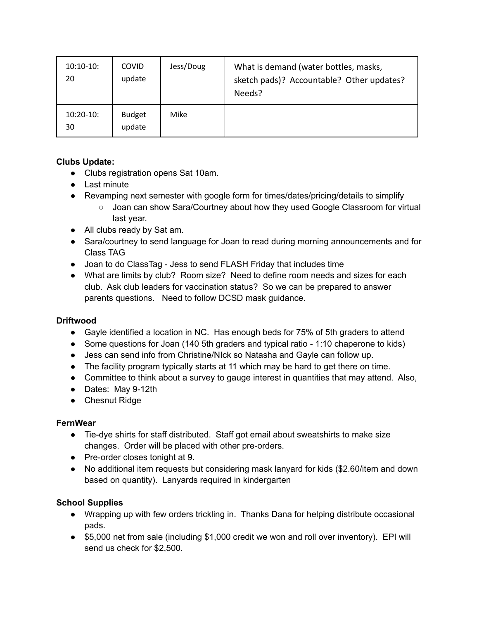| $10:10-10:$<br>20 | <b>COVID</b><br>update  | Jess/Doug | What is demand (water bottles, masks,<br>sketch pads)? Accountable? Other updates?<br>Needs? |
|-------------------|-------------------------|-----------|----------------------------------------------------------------------------------------------|
| $10:20-10:$<br>30 | <b>Budget</b><br>update | Mike      |                                                                                              |

# **Clubs Update:**

- Clubs registration opens Sat 10am.
- Last minute
- Revamping next semester with google form for times/dates/pricing/details to simplify
	- Joan can show Sara/Courtney about how they used Google Classroom for virtual last year.
- All clubs ready by Sat am.
- Sara/courtney to send language for Joan to read during morning announcements and for Class TAG
- Joan to do ClassTag Jess to send FLASH Friday that includes time
- What are limits by club? Room size? Need to define room needs and sizes for each club. Ask club leaders for vaccination status? So we can be prepared to answer parents questions. Need to follow DCSD mask guidance.

## **Driftwood**

- Gayle identified a location in NC. Has enough beds for 75% of 5th graders to attend
- Some questions for Joan (140 5th graders and typical ratio 1:10 chaperone to kids)
- Jess can send info from Christine/NIck so Natasha and Gayle can follow up.
- The facility program typically starts at 11 which may be hard to get there on time.
- Committee to think about a survey to gauge interest in quantities that may attend. Also,
- Dates: May 9-12th
- Chesnut Ridge

## **FernWear**

- Tie-dye shirts for staff distributed. Staff got email about sweatshirts to make size changes. Order will be placed with other pre-orders.
- Pre-order closes tonight at 9.
- No additional item requests but considering mask lanyard for kids (\$2.60/item and down based on quantity). Lanyards required in kindergarten

## **School Supplies**

- Wrapping up with few orders trickling in. Thanks Dana for helping distribute occasional pads.
- \$5,000 net from sale (including \$1,000 credit we won and roll over inventory). EPI will send us check for \$2,500.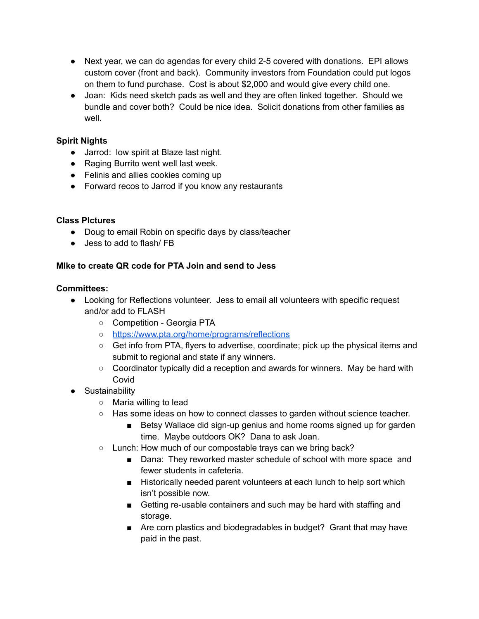- Next year, we can do agendas for every child 2-5 covered with donations. EPI allows custom cover (front and back). Community investors from Foundation could put logos on them to fund purchase. Cost is about \$2,000 and would give every child one.
- Joan: Kids need sketch pads as well and they are often linked together. Should we bundle and cover both? Could be nice idea. Solicit donations from other families as well

## **Spirit Nights**

- Jarrod: low spirit at Blaze last night.
- Raging Burrito went well last week.
- Felinis and allies cookies coming up
- Forward recos to Jarrod if you know any restaurants

#### **Class PIctures**

- Doug to email Robin on specific days by class/teacher
- Jess to add to flash/ FB

### **MIke to create QR code for PTA Join and send to Jess**

#### **Committees:**

- Looking for Reflections volunteer. Jess to email all volunteers with specific request and/or add to FLASH
	- Competition Georgia PTA
	- <https://www.pta.org/home/programs/reflections>
	- Get info from PTA, flyers to advertise, coordinate; pick up the physical items and submit to regional and state if any winners.
	- Coordinator typically did a reception and awards for winners. May be hard with Covid
- Sustainability
	- Maria willing to lead
	- Has some ideas on how to connect classes to garden without science teacher.
		- Betsy Wallace did sign-up genius and home rooms signed up for garden time. Maybe outdoors OK? Dana to ask Joan.
	- Lunch: How much of our compostable trays can we bring back?
		- Dana: They reworked master schedule of school with more space and fewer students in cafeteria.
		- Historically needed parent volunteers at each lunch to help sort which isn't possible now.
		- Getting re-usable containers and such may be hard with staffing and storage.
		- Are corn plastics and biodegradables in budget? Grant that may have paid in the past.